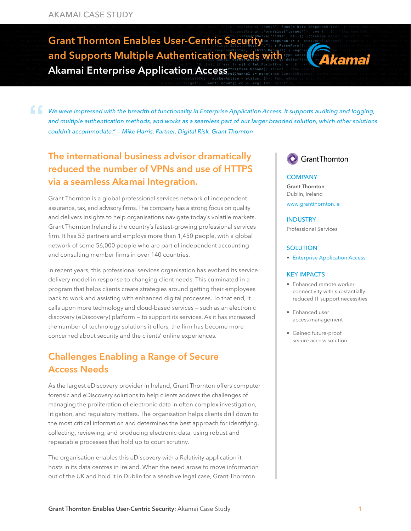Grant Thornton Enables User-Centric Security and Supports Multiple Authentication Needs with Akamai Enterprise Application Access



*We were impressed with the breadth of functionality in Enterprise Application Access. It supports auditing and logging, and multiple authentication methods, and works as a seamless part of our larger branded solution, which other solutions couldn't accommodate." — Mike Harris, Partner, Digital Risk, Grant Thornton*

## The international business advisor dramatically reduced the number of VPNs and use of HTTPS via a seamless Akamai Integration.

Grant Thornton is a global professional services network of independent assurance, tax, and advisory firms. The company has a strong focus on quality and delivers insights to help organisations navigate today's volatile markets. Grant Thornton Ireland is the country's fastest-growing professional services firm. It has 53 partners and employs more than 1,450 people, with a global network of some 56,000 people who are part of independent accounting and consulting member firms in over 140 countries.

In recent years, this professional services organisation has evolved its service delivery model in response to changing client needs. This culminated in a program that helps clients create strategies around getting their employees back to work and assisting with enhanced digital processes. To that end, it calls upon more technology and cloud-based services — such as an electronic discovery (eDiscovery) platform — to support its services. As it has increased the number of technology solutions it offers, the firm has become more concerned about security and the clients' online experiences.

### Challenges Enabling a Range of Secure Access Needs

As the largest eDiscovery provider in Ireland, Grant Thornton offers computer forensic and eDiscovery solutions to help clients address the challenges of managing the proliferation of electronic data in often complex investigation, litigation, and regulatory matters. The organisation helps clients drill down to the most critical information and determines the best approach for identifying, collecting, reviewing, and producing electronic data, using robust and repeatable processes that hold up to court scrutiny.

The organisation enables this eDiscovery with a Relativity application it hosts in its data centres in Ireland. When the need arose to move information out of the UK and hold it in Dublin for a sensitive legal case, Grant Thornton

### **Grant Thornton**

#### **COMPANY**

Grant Thornton Dublin, Ireland www.grantthornton.i[e](https://about.smartnews.com/en/)

### INDUSTRY

Professional Services

#### **SOLUTION**

• [Enterprise Application Access](https://www.akamai.com/us/en/products/security/enterprise-application-access.jsp) 

#### KEY IMPACTS

- Enhanced remote worker connectivity with substantially reduced IT support necessities
- Enhanced user access management
- Gained future-proof secure access solution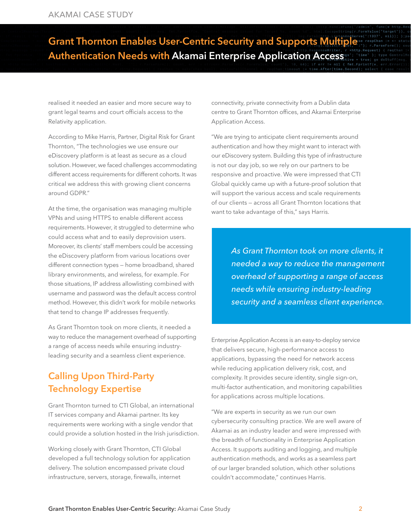# Grant Thornton Enables User-Centric Security and Supports Multiple Authentication Needs with Akamai Enterprise Application Access

realised it needed an easier and more secure way to grant legal teams and court officials access to the Relativity application.

According to Mike Harris, Partner, Digital Risk for Grant Thornton, "The technologies we use ensure our eDiscovery platform is at least as secure as a cloud solution. However, we faced challenges accommodating different access requirements for different cohorts. It was critical we address this with growing client concerns around GDPR."

At the time, the organisation was managing multiple VPNs and using HTTPS to enable different access requirements. However, it struggled to determine who could access what and to easily deprovision users. Moreover, its clients' staff members could be accessing the eDiscovery platform from various locations over different connection types — home broadband, shared library environments, and wireless, for example. For those situations, IP address allowlisting combined with username and password was the default access control method. However, this didn't work for mobile networks that tend to change IP addresses frequently.

As Grant Thornton took on more clients, it needed a way to reduce the management overhead of supporting a range of access needs while ensuring industryleading security and a seamless client experience.

## Calling Upon Third-Party Technology Expertise

Grant Thornton turned to CTI Global, an international IT services company and Akamai partner. Its key requirements were working with a single vendor that could provide a solution hosted in the Irish jurisdiction.

Working closely with Grant Thornton, CTI Global developed a full technology solution for application delivery. The solution encompassed private cloud infrastructure, servers, storage, firewalls, internet

connectivity, private connectivity from a Dublin data centre to Grant Thornton offices, and Akamai Enterprise Application Access.

"We are trying to anticipate client requirements around authentication and how they might want to interact with our eDiscovery system. Building this type of infrastructure is not our day job, so we rely on our partners to be responsive and proactive. We were impressed that CTI Global quickly came up with a future-proof solution that will support the various access and scale requirements of our clients — across all Grant Thornton locations that want to take advantage of this," says Harris.

> *As Grant Thornton took on more clients, it needed a way to reduce the management overhead of supporting a range of access needs while ensuring industry-leading security and a seamless client experience.*

Enterprise Application Access is an easy-to-deploy service that delivers secure, high-performance access to applications, bypassing the need for network access while reducing application delivery risk, cost, and complexity. It provides secure identity, single sign-on, multi-factor authentication, and monitoring capabilities for applications across multiple locations.

"We are experts in security as we run our own cybersecurity consulting practice. We are well aware of Akamai as an industry leader and were impressed with the breadth of functionality in Enterprise Application Access. It supports auditing and logging, and multiple authentication methods, and works as a seamless part of our larger branded solution, which other solutions couldn't accommodate," continues Harris.